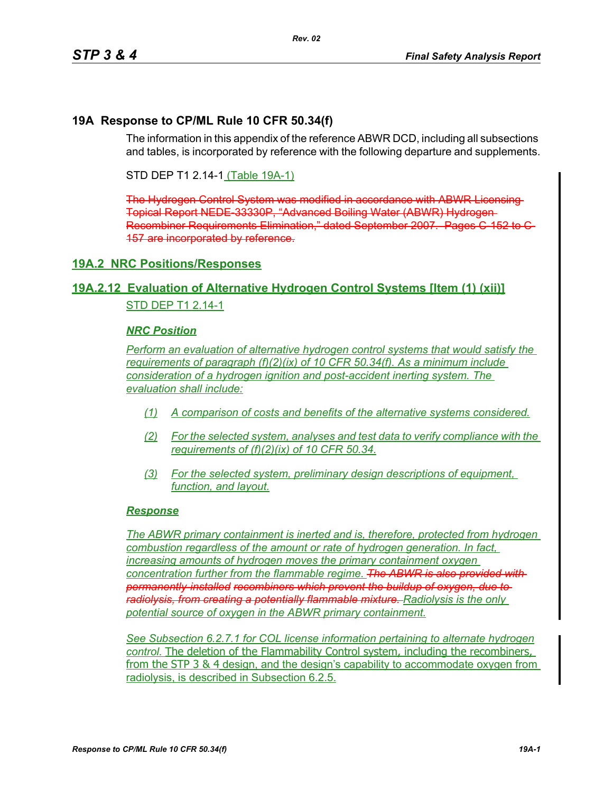### **19A Response to CP/ML Rule 10 CFR 50.34(f)**

The information in this appendix of the reference ABWR DCD, including all subsections and tables, is incorporated by reference with the following departure and supplements.

STD DEP T1 2.14-1 (Table 19A-1)

The Hydrogen Control System was modified in accordance with ABWR Licensing Topical Report NEDE-33330P, "Advanced Boiling Water (ABWR) Hydrogen Recombiner Requirements Elimination," dated September 2007. Pages C 152 to 157 are incorporated by reference.

### **19A.2 NRC Positions/Responses**

### **19A.2.12 Evaluation of Alternative Hydrogen Control Systems [Item (1) (xii)]** STD DEP T1 2 14-1

#### *NRC Position*

*Perform an evaluation of alternative hydrogen control systems that would satisfy the requirements of paragraph (f)(2)(ix) of 10 CFR 50.34(f). As a minimum include consideration of a hydrogen ignition and post-accident inerting system. The evaluation shall include:*

- *(1) A comparison of costs and benefits of the alternative systems considered.*
- *(2) For the selected system, analyses and test data to verify compliance with the requirements of (f)(2)(ix) of 10 CFR 50.34.*
- *(3) For the selected system, preliminary design descriptions of equipment, function, and layout.*

#### *Response*

*The ABWR primary containment is inerted and is, therefore, protected from hydrogen combustion regardless of the amount or rate of hydrogen generation. In fact, increasing amounts of hydrogen moves the primary containment oxygen concentration further from the flammable regime. The ABWR is also provided with permanently-installed recombiners which prevent the buildup of oxygen, due to radiolysis, from creating a potentially flammable mixture. Radiolysis is the only potential source of oxygen in the ABWR primary containment.*

*See Subsection 6.2.7.1 for COL license information pertaining to alternate hydrogen control.* The deletion of the Flammability Control system, including the recombiners, from the STP 3 & 4 design, and the design's capability to accommodate oxygen from radiolysis, is described in Subsection 6.2.5.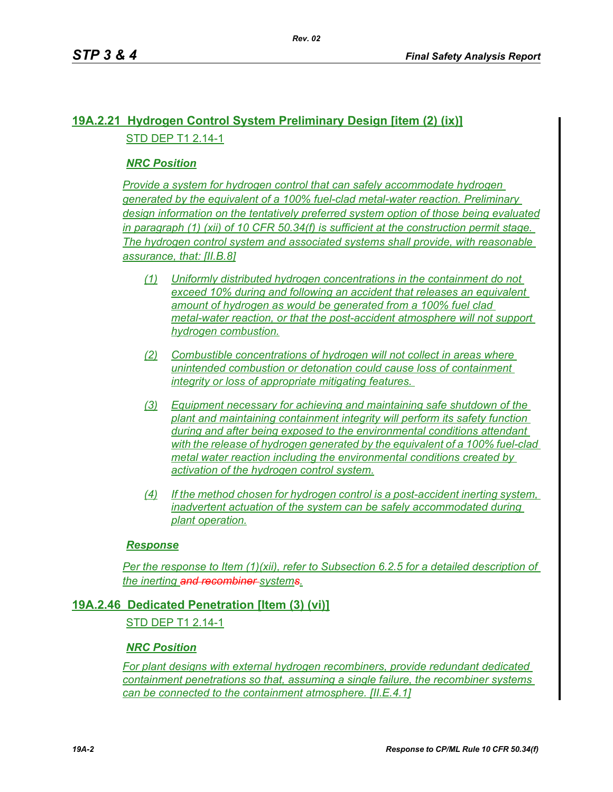# **19A.2.21 Hydrogen Control System Preliminary Design [item (2) (ix)]** STD DEP T1 2.14-1

## *NRC Position*

*Provide a system for hydrogen control that can safely accommodate hydrogen generated by the equivalent of a 100% fuel-clad metal-water reaction. Preliminary design information on the tentatively preferred system option of those being evaluated in paragraph (1) (xii) of 10 CFR 50.34(f) is sufficient at the construction permit stage. The hydrogen control system and associated systems shall provide, with reasonable assurance, that: [II.B.8]*

- *(1) Uniformly distributed hydrogen concentrations in the containment do not exceed 10% during and following an accident that releases an equivalent amount of hydrogen as would be generated from a 100% fuel clad metal-water reaction, or that the post-accident atmosphere will not support hydrogen combustion.*
- *(2) Combustible concentrations of hydrogen will not collect in areas where unintended combustion or detonation could cause loss of containment integrity or loss of appropriate mitigating features.*
- *(3) Equipment necessary for achieving and maintaining safe shutdown of the plant and maintaining containment integrity will perform its safety function during and after being exposed to the environmental conditions attendant with the release of hydrogen generated by the equivalent of a 100% fuel-clad metal water reaction including the environmental conditions created by activation of the hydrogen control system.*
- *(4) If the method chosen for hydrogen control is a post-accident inerting system, inadvertent actuation of the system can be safely accommodated during plant operation.*

#### *Response*

*Per the response to Item (1)(xii), refer to Subsection 6.2.5 for a detailed description of the inerting and recombiner systems.*

### **19A.2.46 Dedicated Penetration [Item (3) (vi)]**

STD DEP T1 2.14-1

#### *NRC Position*

*For plant designs with external hydrogen recombiners, provide redundant dedicated containment penetrations so that, assuming a single failure, the recombiner systems can be connected to the containment atmosphere. [II.E.4.1]*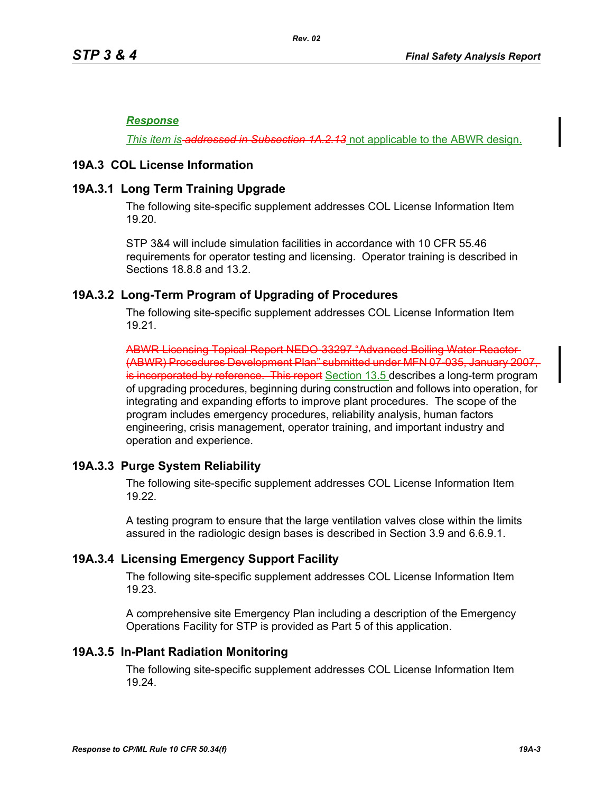#### *Response*

*This item is-addressed in Subsection 1A.2.13* not applicable to the ABWR design.

### **19A.3 COL License Information**

### **19A.3.1 Long Term Training Upgrade**

The following site-specific supplement addresses COL License Information Item 19.20.

STP 3&4 will include simulation facilities in accordance with 10 CFR 55.46 requirements for operator testing and licensing. Operator training is described in Sections 18.8.8 and 13.2.

### **19A.3.2 Long-Term Program of Upgrading of Procedures**

The following site-specific supplement addresses COL License Information Item 19.21.

ABWR Licensing Topical Report NEDO-33297 "Advanced Boiling Water Reactor (ABWR) Procedures Development Plan" submitted under MFN 07-035, January 2007, is incorporated by reference. This report Section 13.5 describes a long-term program of upgrading procedures, beginning during construction and follows into operation, for integrating and expanding efforts to improve plant procedures. The scope of the program includes emergency procedures, reliability analysis, human factors engineering, crisis management, operator training, and important industry and operation and experience.

### **19A.3.3 Purge System Reliability**

The following site-specific supplement addresses COL License Information Item 19.22.

A testing program to ensure that the large ventilation valves close within the limits assured in the radiologic design bases is described in Section 3.9 and 6.6.9.1.

### **19A.3.4 Licensing Emergency Support Facility**

The following site-specific supplement addresses COL License Information Item 19.23.

A comprehensive site Emergency Plan including a description of the Emergency Operations Facility for STP is provided as Part 5 of this application.

#### **19A.3.5 In-Plant Radiation Monitoring**

The following site-specific supplement addresses COL License Information Item 19.24.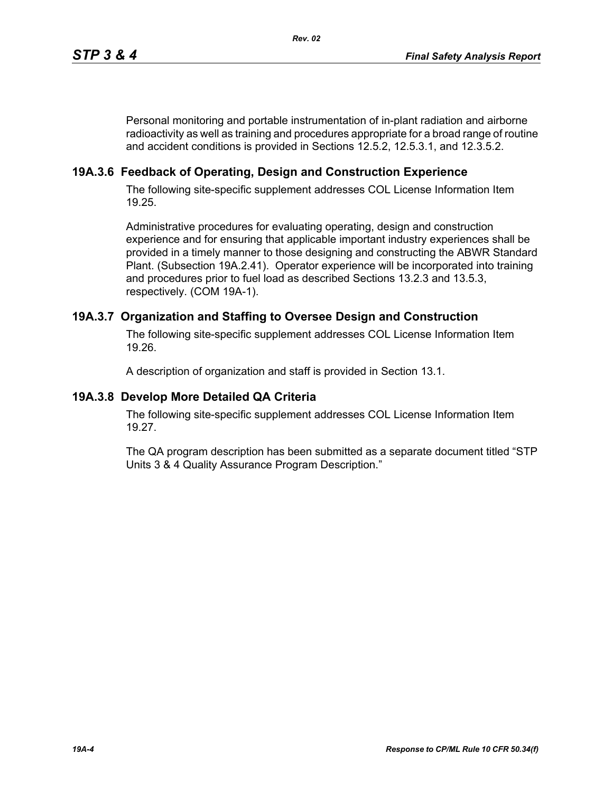Personal monitoring and portable instrumentation of in-plant radiation and airborne radioactivity as well as training and procedures appropriate for a broad range of routine and accident conditions is provided in Sections 12.5.2, 12.5.3.1, and 12.3.5.2.

# **19A.3.6 Feedback of Operating, Design and Construction Experience**

The following site-specific supplement addresses COL License Information Item 19.25.

Administrative procedures for evaluating operating, design and construction experience and for ensuring that applicable important industry experiences shall be provided in a timely manner to those designing and constructing the ABWR Standard Plant. (Subsection 19A.2.41). Operator experience will be incorporated into training and procedures prior to fuel load as described Sections 13.2.3 and 13.5.3, respectively. (COM 19A-1).

## **19A.3.7 Organization and Staffing to Oversee Design and Construction**

The following site-specific supplement addresses COL License Information Item 19.26.

A description of organization and staff is provided in Section 13.1.

### **19A.3.8 Develop More Detailed QA Criteria**

The following site-specific supplement addresses COL License Information Item 19.27.

The QA program description has been submitted as a separate document titled "STP Units 3 & 4 Quality Assurance Program Description."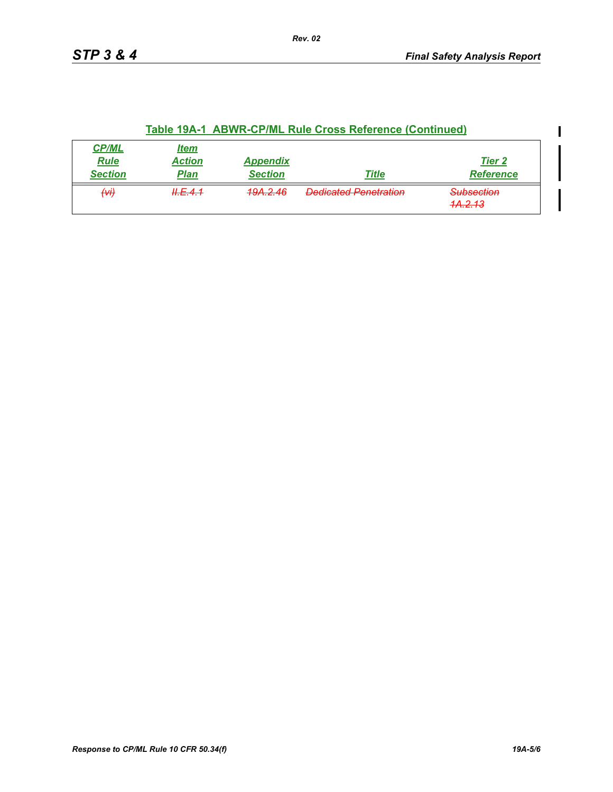|                                               |                                             |                                   | Table 19A-1 ABWR-CP/ML Rule Cross Reference (Continued) |                                             |
|-----------------------------------------------|---------------------------------------------|-----------------------------------|---------------------------------------------------------|---------------------------------------------|
| <b>CP/ML</b><br><b>Rule</b><br><b>Section</b> | <u>Item</u><br><b>Action</b><br><u>Plan</u> | <b>Appendix</b><br><b>Section</b> | Title                                                   | <b>Tier 2</b><br><b>Reference</b>           |
| $\overline{\left( \mathcal{H} \right)}$       | H.E.4.1                                     | <del>19A.2.46</del>               | <b>Dedicated Penetration</b>                            | <del>Subsection</del><br><del>1A.2.13</del> |